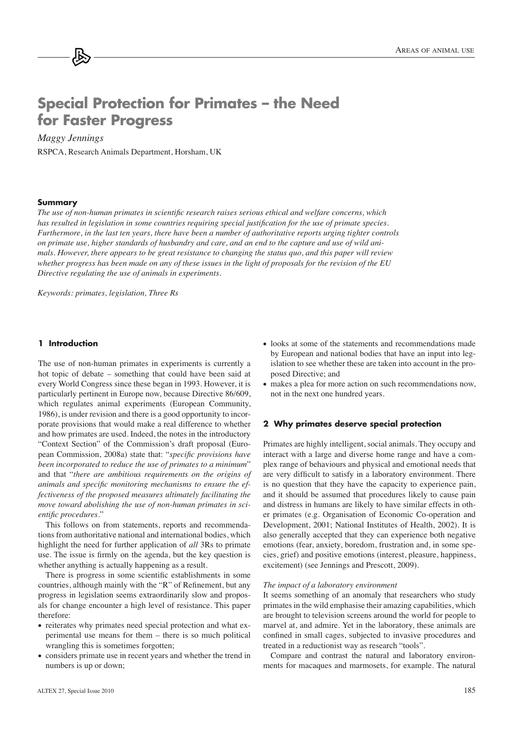# **Special Protection for Primates – the Need for Faster Progress**

# $Maggy$ *Jennings*

RSPCA, Research Animals Department, Horsham, UK

#### **Summary**

The use of non-human primates in scientific research raises serious ethical and welfare concerns, which *has resulted in legislation in some countries requiring special justification for the use of primate species.* Furthermore, in the last ten years, there have been a number of authoritative reports urging tighter controls *on primate use, higher standards of husbandry and care, and an end to the capture and use of wild ani-PDOVEFATHERY Above ver, there appears to be great resistance to changing the status quo, and this paper will review Whether progress has been made on any of these issues in the light of proposals for the revision of the EU Directive regulating the use of animals in experiments.* 

*Keywords: primates, legislation, Three Rs* 

## **1 Introduction**

The use of non-human primates in experiments is currently a hot topic of debate – something that could have been said at every World Congress since these began in 1993. However, it is particularly pertinent in Europe now, because Directive 86/609, which regulates animal experiments (European Community, 1986), is under revision and there is a good opportunity to incorporate provisions that would make a real difference to whether and how primates are used. Indeed, the notes in the introductory "Context Section" of the Commission's draft proposal (European Commission, 2008a) state that: "*specific provisions have* been incorporated to reduce the use of primates to a minimum" and that "*there are ambitious requirements on the origins of dnimals and specific monitoring mechanisms to ensure the effectiveness of the proposed measures ultimately facilitating the PRYHove toward abolishing the use of non-human primates in scientific procedures.*"

This follows on from statements, reports and recommendations from authoritative national and international bodies, which highlight the need for further application of *all* 3Rs to primate use. The issue is firmly on the agenda, but the key question is whether anything is actually happening as a result.

There is progress in some scientific establishments in some countries, although mainly with the "R" of Refinement, but any progress in legislation seems extraordinarily slow and proposals for change encounter a high level of resistance. This paper therefore:

- reiterates why primates need special protection and what experimental use means for them – there is so much political wrangling this is sometimes forgotten;
- considers primate use in recent years and whether the trend in numbers is up or down;
- looks at some of the statements and recommendations made by European and national bodies that have an input into legislation to see whether these are taken into account in the proposed Directive; and
- makes a plea for more action on such recommendations now, not in the next one hundred years.

### **2 Why primates deserve special protection**

Primates are highly intelligent, social animals. They occupy and interact with a large and diverse home range and have a complex range of behaviours and physical and emotional needs that are very difficult to satisfy in a laboratory environment. There is no question that they have the capacity to experience pain, and it should be assumed that procedures likely to cause pain and distress in humans are likely to have similar effects in other primates (e.g. Organisation of Economic Co-operation and Development, 2001; National Institutes of Health, 2002). It is also generally accepted that they can experience both negative emotions (fear, anxiety, boredom, frustration and, in some species, grief) and positive emotions (interest, pleasure, happiness, excitement) (see Jennings and Prescott, 2009).

#### *The impact of a laboratory environment*

It seems something of an anomaly that researchers who study primates in the wild emphasise their amazing capabilities, which are brought to television screens around the world for people to marvel at, and admire. Yet in the laboratory, these animals are confined in small cages, subjected to invasive procedures and treated in a reductionist way as research "tools".

Compare and contrast the natural and laboratory environments for macaques and marmosets, for example. The natural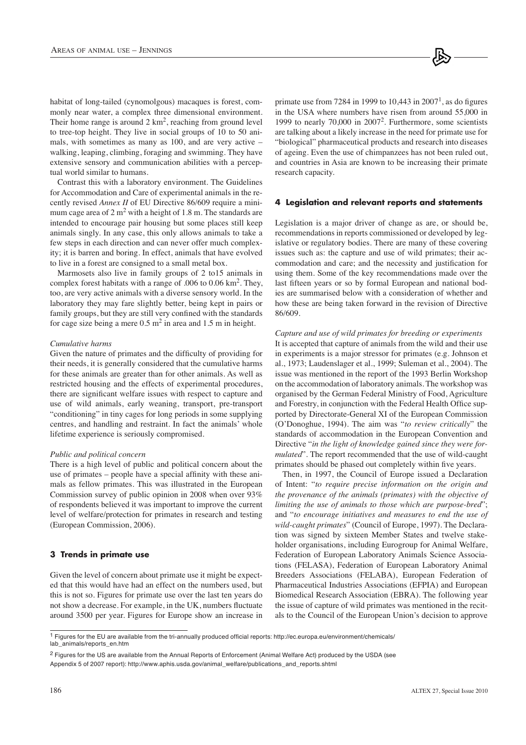habitat of long-tailed (cynomolgous) macaques is forest, commonly near water, a complex three dimensional environment. Their home range is around  $2 \text{ km}^2$ , reaching from ground level to tree-top height. They live in social groups of 10 to 50 animals, with sometimes as many as 100, and are very active – walking, leaping, climbing, foraging and swimming. They have extensive sensory and communication abilities with a perceptual world similar to humans.

Contrast this with a laboratory environment. The Guidelines for Accommodation and Care of experimental animals in the recently revised *Annex II* of EU Directive 86/609 require a minimum cage area of  $2 \text{ m}^2$  with a height of 1.8 m. The standards are intended to encourage pair housing but some places still keep animals singly. In any case, this only allows animals to take a few steps in each direction and can never offer much complexity; it is barren and boring. In effect, animals that have evolved to live in a forest are consigned to a small metal box.

Marmosets also live in family groups of 2 to15 animals in complex forest habitats with a range of .006 to 0.06 km<sup>2</sup>. They, too, are very active animals with a diverse sensory world. In the laboratory they may fare slightly better, being kept in pairs or family groups, but they are still very confined with the standards for cage size being a mere  $0.5 \text{ m}^2$  in area and 1.5 m in height.

#### *Cumulative harms*

Given the nature of primates and the difficulty of providing for their needs, it is generally considered that the cumulative harms for these animals are greater than for other animals. As well as restricted housing and the effects of experimental procedures, there are significant welfare issues with respect to capture and use of wild animals, early weaning, transport, pre-transport "conditioning" in tiny cages for long periods in some supplying centres, and handling and restraint. In fact the animals' whole lifetime experience is seriously compromised.

#### *Public and political concern*

There is a high level of public and political concern about the use of primates  $-$  people have a special affinity with these animals as fellow primates. This was illustrated in the European Commission survey of public opinion in 2008 when over 93% of respondents believed it was important to improve the current level of welfare/protection for primates in research and testing (European Commission, 2006).

#### **3 Trends in primate use**

Given the level of concern about primate use it might be expected that this would have had an effect on the numbers used, but this is not so. Figures for primate use over the last ten years do not show a decrease. For example, in the UK, numbers fluctuate around 3500 per year. Figures for Europe show an increase in

primate use from 7284 in 1999 to  $10,443$  in  $2007<sup>1</sup>$ , as do figures in the USA where numbers have risen from around 55,000 in 1999 to nearly 70,000 in 2007<sup>2</sup> . Furthermore, some scientists are talking about a likely increase in the need for primate use for "biological" pharmaceutical products and research into diseases of ageing. Even the use of chimpanzees has not been ruled out, and countries in Asia are known to be increasing their primate research capacity.

#### **4 Legislation and relevant reports and statements**

Legislation is a major driver of change as are, or should be, recommendations in reports commissioned or developed by legislative or regulatory bodies. There are many of these covering issues such as: the capture and use of wild primates; their accommodation and care; and the necessity and justification for using them. Some of the key recommendations made over the last fifteen years or so by formal European and national bodies are summarised below with a consideration of whether and how these are being taken forward in the revision of Directive 86/609.

Capture and use of wild primates for breeding or experiments It is accepted that capture of animals from the wild and their use in experiments is a major stressor for primates (e.g. Johnson et al., 1973; Laudenslager et al., 1999; Suleman et al., 2004). The issue was mentioned in the report of the 1993 Berlin Workshop on the accommodation of laboratory animals. The workshop was organised by the German Federal Ministry of Food, Agriculture and Forestry, in conjunction with the Federal Health Office supported by Directorate-General XI of the European Commission (O'Donoghue, 1994). The aim was "*to review critically*" the standards of accommodation in the European Convention and Directive "*in the light of knowledge gained since they were for-PHODWHGR*  $P$ . The report recommended that the use of wild-caught primates should be phased out completely within five years.

Then, in 1997, the Council of Europe issued a Declaration of Intent: "to require precise information on the origin and *the provenance of the animals (primates) with the objective of limiting the use of animals to those which are purpose-bred"*; and "to encourage initiatives and measures to end the use of *wild-caught primates*" (Council of Europe, 1997). The Declaration was signed by sixteen Member States and twelve stakeholder organisations, including Eurogroup for Animal Welfare, Federation of European Laboratory Animals Science Associations (FELASA), Federation of European Laboratory Animal Breeders Associations (FELABA), European Federation of Pharmaceutical Industries Associations (EFPIA) and European Biomedical Research Association (EBRA). The following year the issue of capture of wild primates was mentioned in the recitals to the Council of the European Union's decision to approve

<sup>1</sup> Figures for the EU are available from the tri-annually produced official reports: http://ec.europa.eu/environment/chemicals/ lab\_animals/reports\_en.htm

<sup>2</sup> Figures for the US are available from the Annual Reports of Enforcement (Animal Welfare Act) produced by the USDA (see Appendix 5 of 2007 report): http://www.aphis.usda.gov/animal\_welfare/publications\_and\_reports.shtml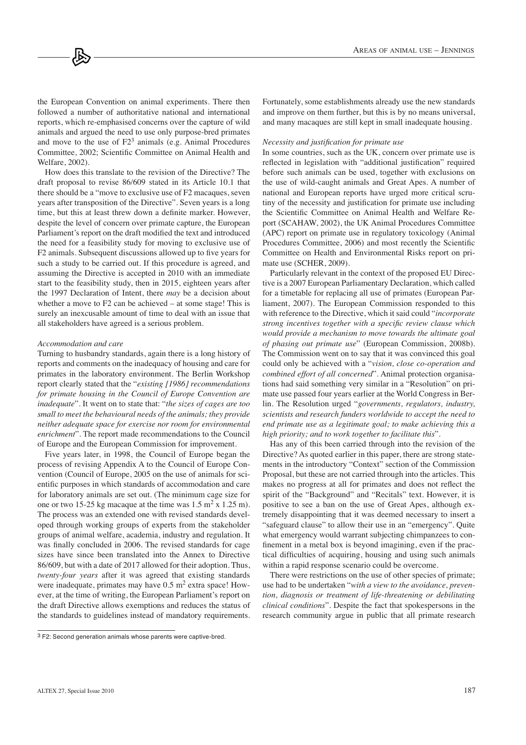the European Convention on animal experiments. There then followed a number of authoritative national and international reports, which re-emphasised concerns over the capture of wild animals and argued the need to use only purpose-bred primates and move to the use of  $F2<sup>3</sup>$  animals (e.g. Animal Procedures Committee, 2002; Scientific Committee on Animal Health and Welfare, 2002).

How does this translate to the revision of the Directive? The draft proposal to revise 86/609 stated in its Article 10.1 that there should be a "move to exclusive use of F2 macaques, seven years after transposition of the Directive". Seven years is a long time, but this at least threw down a definite marker. However, despite the level of concern over primate capture, the European Parliament's report on the draft modified the text and introduced the need for a feasibility study for moving to exclusive use of F2 animals. Subsequent discussions allowed up to five years for such a study to be carried out. If this procedure is agreed, and assuming the Directive is accepted in 2010 with an immediate start to the feasibility study, then in 2015, eighteen years after the 1997 Declaration of Intent, there *may* be a decision about whether a move to F2 can be achieved – at some stage! This is surely an inexcusable amount of time to deal with an issue that all stakeholders have agreed is a serious problem.

#### *Accommodation and care*

Turning to husbandry standards, again there is a long history of reports and comments on the inadequacy of housing and care for primates in the laboratory environment. The Berlin Workshop report clearly stated that the "*existing [1986] recommendations for primate housing in the Council of Europe Convention are inadequate*". It went on to state that: "*the sizes of cages are too small to meet the behavioural needs of the animals; they provide neither adequate space for exercise nor room for environmental enrichment*". The report made recommendations to the Council of Europe and the European Commission for improvement.

Five years later, in 1998, the Council of Europe began the process of revising Appendix A to the Council of Europe Convention (Council of Europe, 2005 on the use of animals for scientific purposes in which standards of accommodation and care for laboratory animals are set out. (The minimum cage size for one or two 15-25 kg macaque at the time was  $1.5 \text{ m}^2 \times 1.25 \text{ m}$ . The process was an extended one with revised standards developed through working groups of experts from the stakeholder groups of animal welfare, academia, industry and regulation. It was finally concluded in 2006. The revised standards for cage sizes have since been translated into the Annex to Directive 86/609, but with a date of 2017 allowed for their adoption. Thus, *twenty-four years* after it was agreed that existing standards were inadequate, primates may have  $0.5 \text{ m}^2$  extra space! However, at the time of writing, the European Parliament's report on the draft Directive allows exemptions and reduces the status of the standards to guidelines instead of mandatory requirements.

Fortunately, some establishments already use the new standards and improve on them further, but this is by no means universal, and many macaques are still kept in small inadequate housing.

#### *Necessity and justification for primate use*

In some countries, such as the UK, concern over primate use is reflected in legislation with "additional justification" required before such animals can be used, together with exclusions on the use of wild-caught animals and Great Apes. A number of national and European reports have urged more critical scrutiny of the necessity and justification for primate use including the Scientific Committee on Animal Health and Welfare Report (SCAHAW, 2002), the UK Animal Procedures Committee (APC) report on primate use in regulatory toxicology (Animal Procedures Committee, 2006) and most recently the Scientific Committee on Health and Environmental Risks report on primate use (SCHER, 2009).

Particularly relevant in the context of the proposed EU Directive is a 2007 European Parliamentary Declaration, which called for a timetable for replacing all use of primates (European Parliament, 2007). The European Commission responded to this with reference to the Directive, which it said could "*incorporate* strong incentives together with a specific review clause which *would provide a mechanism to move towards the ultimate goal* of phasing out primate use" (European Commission, 2008b). The Commission went on to say that it was convinced this goal could only be achieved with a "vision, close co-operation and *combined effort of all concerned*". Animal protection organisations had said something very similar in a "Resolution" on primate use passed four years earlier at the World Congress in Berlin. The Resolution urged "*governments*, *regulators*, *industry*, *scientists and research funders worldwide to accept the need to end primate use as a legitimate goal; to make achieving this a* high priority; and to work together to facilitate this".

Has any of this been carried through into the revision of the Directive? As quoted earlier in this paper, there are strong statements in the introductory "Context" section of the Commission Proposal, but these are not carried through into the articles. This makes no progress at all for primates and does not reflect the spirit of the "Background" and "Recitals" text. However, it is positive to see a ban on the use of Great Apes, although extremely disappointing that it was deemed necessary to insert a "safeguard clause" to allow their use in an "emergency". Quite what emergency would warrant subjecting chimpanzees to confinement in a metal box is beyond imagining, even if the practical difficulties of acquiring, housing and using such animals within a rapid response scenario could be overcome.

There were restrictions on the use of other species of primate; use had to be undertaken "with a view to the avoidance, prevention, diagnosis or treatment of life-threatening or debilitating *clinical conditions*". Despite the fact that spokespersons in the research community argue in public that all primate research

 $3$  F2: Second generation animals whose parents were captive-bred.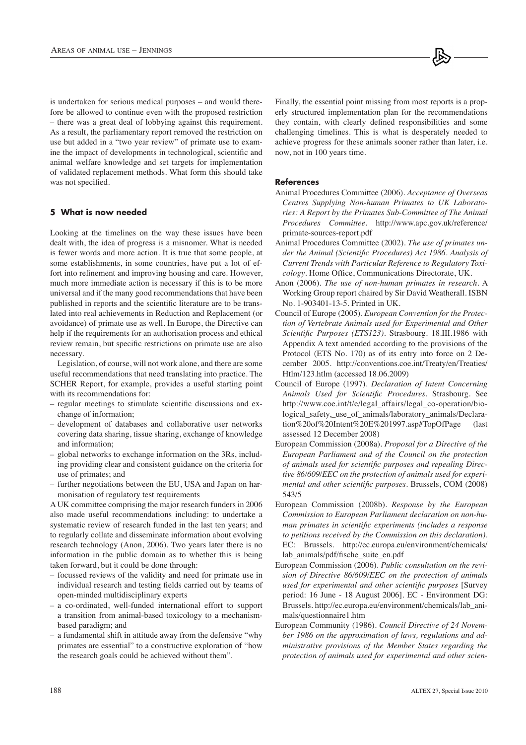is undertaken for serious medical purposes – and would therefore be allowed to continue even with the proposed restriction  $-$  there was a great deal of lobbying against this requirement. As a result, the parliamentary report removed the restriction on use but added in a "two year review" of primate use to examine the impact of developments in technological, scientific and animal welfare knowledge and set targets for implementation of validated replacement methods. What form this should take was not specified.

## **5 What is now needed**

Looking at the timelines on the way these issues have been dealt with, the idea of progress is a misnomer. What is needed is fewer words and more action. It is true that some people, at some establishments, in some countries, have put a lot of effort into refinement and improving housing and care. However, much more immediate action is necessary if this is to be more universal and if the many good recommendations that have been published in reports and the scientific literature are to be translated into real achievements in Reduction and Replacement (or avoidance) of primate use as well. In Europe, the Directive can help if the requirements for an authorisation process and ethical review remain, but specific restrictions on primate use are also necessary.

Legislation, of course, will not work alone, and there are some useful recommendations that need translating into practice. The SCHER Report, for example, provides a useful starting point with its recommendations for:

- regular meetings to stimulate scientific discussions and exchange of information;
- development of databases and collaborative user networks covering data sharing, tissue sharing, exchange of knowledge and information;
- global networks to exchange information on the 3Rs, including providing clear and consistent guidance on the criteria for use of primates; and
- further negotiations between the EU, USA and Japan on harmonisation of regulatory test requirements

A UK committee comprising the major research funders in 2006 also made useful recommendations including: to undertake a systematic review of research funded in the last ten years; and to regularly collate and disseminate information about evolving research technology (Anon, 2006). Two years later there is no information in the public domain as to whether this is being taken forward, but it could be done through:

- focussed reviews of the validity and need for primate use in individual research and testing fields carried out by teams of open-minded multidisciplinary experts
- a co-ordinated, well-funded international effort to support a transition from animal-based toxicology to a mechanismbased paradigm; and
- a fundamental shift in attitude away from the defensive "why primates are essential" to a constructive exploration of "how the research goals could be achieved without them".

Finally, the essential point missing from most reports is a properly structured implementation plan for the recommendations they contain, with clearly defined responsibilities and some challenging timelines. This is what is desperately needed to achieve progress for these animals sooner rather than later, i.e. now, not in 100 years time.

## **References**

- Animal Procedures Committee (2006). *Acceptance of Overseas* Centres Supplying Non-human Primates to UK Laboratories: A Report by the Primates Sub-Committee of The Animal Procedures Committee. http://www.apc.gov.uk/reference/ primate-sources-report.pdf
- Animal Procedures Committee (2002). *The use of primates un*der the Animal (Scientific Procedures) Act 1986. Analysis of *Current Trends with Particular Reference to Regulatory Toxi-* $\textit{cology}$ . Home Office, Communications Directorate, UK.
- Anon (2006). *The use of non-human primates in research*. A Working Group report chaired by Sir David Weatherall. ISBN No. 1-903401-13-5. Printed in UK.
- Council of Europe (2005). *European Convention for the Protec*tion of Vertebrate Animals used for Experimental and Other *Scientific Purposes (ETS123)*. Strasbourg. 18.III.1986 with Appendix A text amended according to the provisions of the Protocol (ETS No. 170) as of its entry into force on 2 December 2005. http://conventions.coe.int/Treaty/en/Treaties/ Htlm/123.htlm (accessed 18.06.2009)
- Council of Europe (1997). *Declaration of Intent Concerning* Animals Used for Scientific Procedures. Strasbourg. See http://www.coe.int/t/e/legal\_affairs/legal\_co-operation/biological\_safety,\_use\_of\_animals/laboratory\_animals/Declaration%20of%20Intent%20E%201997.asp#TopOfPage (last assessed 12 December 2008)
- European Commission (2008a). *Proposal for a Directive of the* European Parliament and of the Council on the protection  $\alpha$ *b* animals used for scientific purposes and repealing Direc*tive 86/609/EEC on the protection of animals used for experimental and other scientific purposes. Brussels, COM (2008)* 543/5
- European Commission (2008b). *Response by the European* Commission to European Parliament declaration on non-hu*man primates in scientific experiments (includes a response* to petitions received by the Commission on this declaration). EC: Brussels. http://ec.europa.eu/environment/chemicals/ lab\_animals/pdf/fische\_suite\_en.pdf
- European Commission (2006). *Public consultation on the revision of Directive 86/609/EEC on the protection of animals used for experimental and other scientific purposes* [Survey period: 16 June - 18 August 2006]. EC - Environment DG: Brussels. http://ec.europa.eu/environment/chemicals/lab\_animals/questionnaire1.htm
- European Community (1986). *Council Directive of 24 Novem*ber 1986 on the approximation of laws, regulations and ad-*Phinistrative provisions of the Member States regarding the Drotection of animals used for experimental and other scien-*